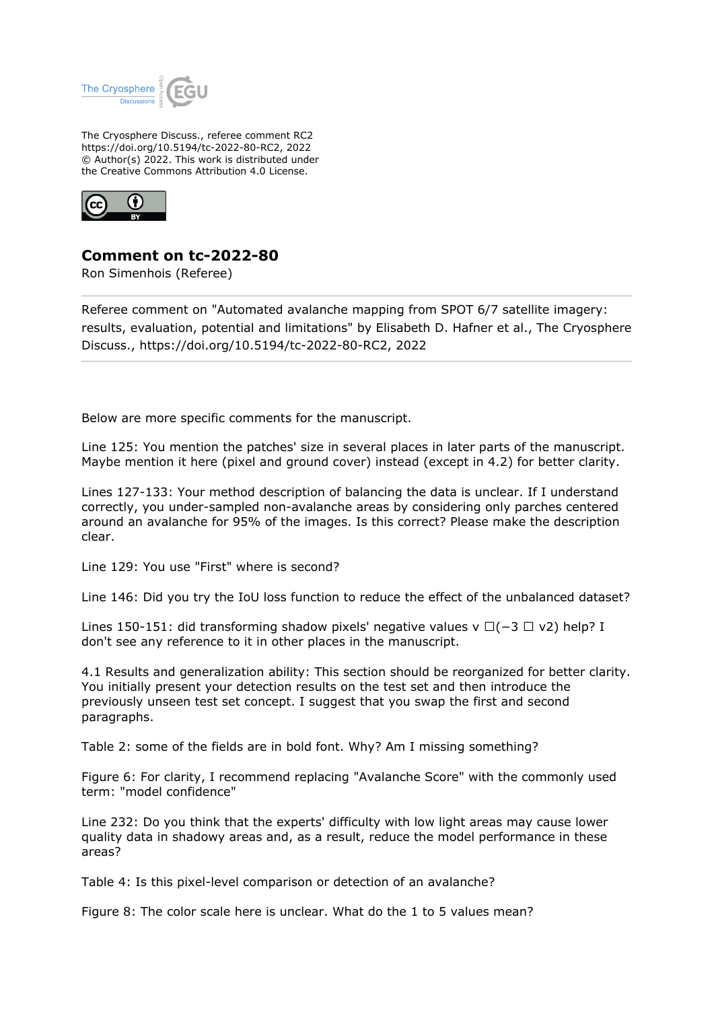

The Cryosphere Discuss., referee comment RC2 https://doi.org/10.5194/tc-2022-80-RC2, 2022 © Author(s) 2022. This work is distributed under the Creative Commons Attribution 4.0 License.



## **Comment on tc-2022-80**

Ron Simenhois (Referee)

Referee comment on "Automated avalanche mapping from SPOT 6/7 satellite imagery: results, evaluation, potential and limitations" by Elisabeth D. Hafner et al., The Cryosphere Discuss., https://doi.org/10.5194/tc-2022-80-RC2, 2022

Below are more specific comments for the manuscript.

Line 125: You mention the patches' size in several places in later parts of the manuscript. Maybe mention it here (pixel and ground cover) instead (except in 4.2) for better clarity.

Lines 127-133: Your method description of balancing the data is unclear. If I understand correctly, you under-sampled non-avalanche areas by considering only parches centered around an avalanche for 95% of the images. Is this correct? Please make the description clear.

Line 129: You use "First" where is second?

Line 146: Did you try the IoU loss function to reduce the effect of the unbalanced dataset?

Lines 150-151: did transforming shadow pixels' negative values v □(−3 □ v2) help? I don't see any reference to it in other places in the manuscript.

4.1 Results and generalization ability: This section should be reorganized for better clarity. You initially present your detection results on the test set and then introduce the previously unseen test set concept. I suggest that you swap the first and second paragraphs.

Table 2: some of the fields are in bold font. Why? Am I missing something?

Figure 6: For clarity, I recommend replacing "Avalanche Score" with the commonly used term: "model confidence"

Line 232: Do you think that the experts' difficulty with low light areas may cause lower quality data in shadowy areas and, as a result, reduce the model performance in these areas?

Table 4: Is this pixel-level comparison or detection of an avalanche?

Figure 8: The color scale here is unclear. What do the 1 to 5 values mean?